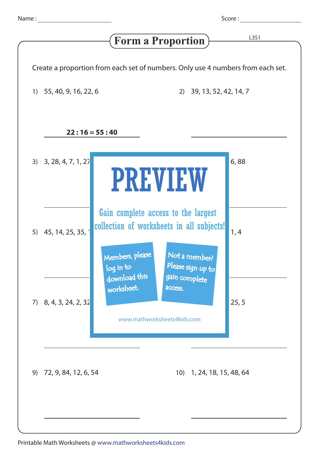Score : <u>\_\_\_\_\_\_\_\_</u>